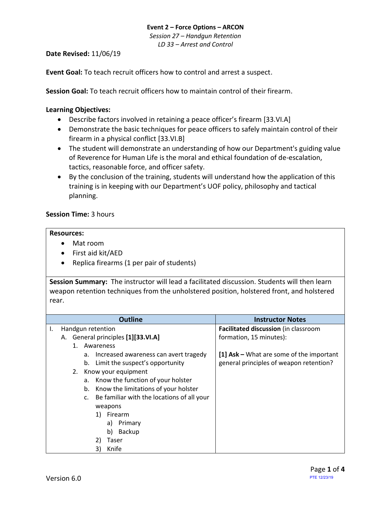# **Event 2 – Force Options – ARCON** *Session 27 – Handgun Retention*

*LD 33 – Arrest and Control*

# **Date Revised:** 11/06/19

**Event Goal:** To teach recruit officers how to control and arrest a suspect.

**Session Goal:** To teach recruit officers how to maintain control of their firearm.

# <span id="page-0-1"></span>**Learning Objectives:**

- [Describe factors involved in retaining a peace officer's firearm](#page-0-0) [33.VI.A]
- Demonstrate the [basic techniques for peace officers to safely maintain control of their](#page-2-0)  [firearm in a physical conflict](#page-2-0) [33.VI.B]
- The student will demonstrate an understanding of how our Department's guiding value of Reverence for Human Life is the moral and ethical foundation of de-escalation, tactics, reasonable force, and officer safety.
- By the conclusion of the training, students will understand how the application of this training is in keeping with our Department's UOF policy, philosophy and tactical planning.

# **Session Time:** 3 hours

#### **Resources:**

- Mat room
- First aid kit/AED
- Replica firearms (1 per pair of students)

**Session Summary:** The instructor will lead a facilitated discussion. Students will then learn weapon retention techniques from the unholstered position, holstered front, and holstered rear.

<span id="page-0-0"></span>

|    |                                    |         |    | <b>Outline</b>                             | <b>Instructor Notes</b>                  |
|----|------------------------------------|---------|----|--------------------------------------------|------------------------------------------|
| Ι. | Handgun retention                  |         |    |                                            | Facilitated discussion (in classroom     |
|    | A. General principles [1][33.VI.A] |         |    | formation, 15 minutes):                    |                                          |
|    |                                    | $1_{-}$ |    | Awareness                                  |                                          |
|    |                                    |         | а. | Increased awareness can avert tragedy      | [1] Ask – What are some of the important |
|    |                                    |         | b. | Limit the suspect's opportunity            | general principles of weapon retention?  |
|    |                                    |         |    | 2. Know your equipment                     |                                          |
|    |                                    |         | a. | Know the function of your holster          |                                          |
|    |                                    |         | b. | Know the limitations of your holster       |                                          |
|    |                                    |         | c. | Be familiar with the locations of all your |                                          |
|    |                                    |         |    | weapons                                    |                                          |
|    |                                    |         |    | Firearm<br>1)                              |                                          |
|    |                                    |         |    | Primary<br>a)                              |                                          |
|    |                                    |         |    | Backup<br>b)                               |                                          |
|    |                                    |         |    | 2)<br>Taser                                |                                          |
|    |                                    |         |    | Knife<br>3)                                |                                          |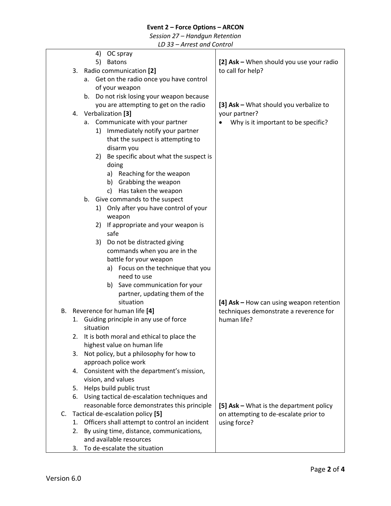# **Event 2 – Force Options – ARCON**

*Session 27 – Handgun Retention*

*LD 33 – Arrest and Control*

|    |    | 4)<br>OC spray                                |                                          |
|----|----|-----------------------------------------------|------------------------------------------|
|    |    | 5)<br><b>Batons</b>                           | [2] Ask - When should you use your radio |
|    | 3. | Radio communication [2]                       | to call for help?                        |
|    |    | a. Get on the radio once you have control     |                                          |
|    |    | of your weapon                                |                                          |
|    |    | b. Do not risk losing your weapon because     |                                          |
|    |    | you are attempting to get on the radio        | [3] Ask - What should you verbalize to   |
|    | 4. | Verbalization [3]                             | your partner?                            |
|    |    | a. Communicate with your partner              | Why is it important to be specific?      |
|    |    | Immediately notify your partner<br>1)         |                                          |
|    |    | that the suspect is attempting to             |                                          |
|    |    | disarm you                                    |                                          |
|    |    | Be specific about what the suspect is<br>2)   |                                          |
|    |    | doing                                         |                                          |
|    |    | a) Reaching for the weapon                    |                                          |
|    |    | b) Grabbing the weapon                        |                                          |
|    |    | c) Has taken the weapon                       |                                          |
|    |    | b. Give commands to the suspect               |                                          |
|    |    | Only after you have control of your<br>1)     |                                          |
|    |    | weapon                                        |                                          |
|    |    | If appropriate and your weapon is<br>2)       |                                          |
|    |    | safe                                          |                                          |
|    |    | Do not be distracted giving<br>3)             |                                          |
|    |    | commands when you are in the                  |                                          |
|    |    | battle for your weapon                        |                                          |
|    |    | a) Focus on the technique that you            |                                          |
|    |    | need to use                                   |                                          |
|    |    | b) Save communication for your                |                                          |
|    |    | partner, updating them of the                 |                                          |
|    |    | situation                                     | [4] Ask - How can using weapon retention |
| В. |    | Reverence for human life [4]                  | techniques demonstrate a reverence for   |
|    | 1. | Guiding principle in any use of force         | human life?                              |
|    |    | situation                                     |                                          |
|    | 2. | It is both moral and ethical to place the     |                                          |
|    |    | highest value on human life                   |                                          |
|    | 3. | Not policy, but a philosophy for how to       |                                          |
|    |    | approach police work                          |                                          |
|    | 4. | Consistent with the department's mission,     |                                          |
|    |    | vision, and values                            |                                          |
|    | 5. | Helps build public trust                      |                                          |
|    | 6. | Using tactical de-escalation techniques and   |                                          |
|    |    | reasonable force demonstrates this principle  | [5] Ask - What is the department policy  |
| C. |    | Tactical de-escalation policy [5]             | on attempting to de-escalate prior to    |
|    | 1. | Officers shall attempt to control an incident | using force?                             |
|    | 2. | By using time, distance, communications,      |                                          |
|    |    | and available resources                       |                                          |
|    | 3. | To de-escalate the situation                  |                                          |
|    |    |                                               |                                          |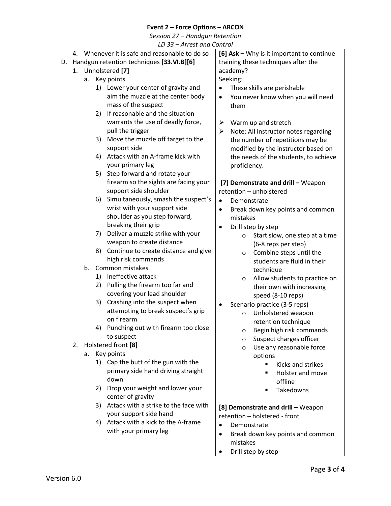# **Event 2 – Force Options – ARCON**

*Session 27 – Handgun Retention*

<span id="page-2-0"></span>

|    |    |                                           |    | LD 33 - Arrest and Control                     |                                     |                                           |  |
|----|----|-------------------------------------------|----|------------------------------------------------|-------------------------------------|-------------------------------------------|--|
|    |    |                                           |    | 4. Whenever it is safe and reasonable to do so |                                     | [6] Ask - Why is it important to continue |  |
| D. |    | Handgun retention techniques [33.VI.B][6] |    |                                                | training these techniques after the |                                           |  |
|    |    | 1. Unholstered [7]                        |    |                                                | academy?                            |                                           |  |
|    |    | а.                                        |    | Key points                                     |                                     | Seeking:                                  |  |
|    |    |                                           |    | 1) Lower your center of gravity and            |                                     | These skills are perishable               |  |
|    |    |                                           |    | aim the muzzle at the center body              | $\bullet$                           | You never know when you will need         |  |
|    |    |                                           |    | mass of the suspect                            |                                     | them                                      |  |
|    |    |                                           | 2) | If reasonable and the situation                |                                     |                                           |  |
|    |    |                                           |    | warrants the use of deadly force,              |                                     |                                           |  |
|    |    |                                           |    |                                                | ➤                                   | Warm up and stretch                       |  |
|    |    |                                           |    | pull the trigger                               | ➤                                   | Note: All instructor notes regarding      |  |
|    |    |                                           | 3) | Move the muzzle off target to the              |                                     | the number of repetitions may be          |  |
|    |    |                                           |    | support side                                   |                                     | modified by the instructor based on       |  |
|    |    |                                           | 4) | Attack with an A-frame kick with               |                                     | the needs of the students, to achieve     |  |
|    |    |                                           |    | your primary leg                               |                                     | proficiency.                              |  |
|    |    |                                           | 5) | Step forward and rotate your                   |                                     |                                           |  |
|    |    |                                           |    | firearm so the sights are facing your          |                                     | [7] Demonstrate and drill - Weapon        |  |
|    |    |                                           |    | support side shoulder                          |                                     | retention - unholstered                   |  |
|    |    |                                           | 6) | Simultaneously, smash the suspect's            | $\bullet$                           | Demonstrate                               |  |
|    |    |                                           |    | wrist with your support side                   | $\bullet$                           | Break down key points and common          |  |
|    |    |                                           |    | shoulder as you step forward,                  |                                     | mistakes                                  |  |
|    |    |                                           |    | breaking their grip                            |                                     | Drill step by step                        |  |
|    |    |                                           | 7) | Deliver a muzzle strike with your              |                                     | Start slow, one step at a time<br>$\circ$ |  |
|    |    |                                           |    | weapon to create distance                      |                                     | (6-8 reps per step)                       |  |
|    |    |                                           | 8) | Continue to create distance and give           |                                     | Combine steps until the<br>$\circ$        |  |
|    |    |                                           |    | high risk commands                             |                                     | students are fluid in their               |  |
|    |    | b.                                        |    | Common mistakes                                |                                     | technique                                 |  |
|    |    |                                           | 1) | Ineffective attack                             |                                     | Allow students to practice on<br>$\circ$  |  |
|    |    |                                           | 2) | Pulling the firearm too far and                |                                     | their own with increasing                 |  |
|    |    |                                           |    | covering your lead shoulder                    |                                     | speed (8-10 reps)                         |  |
|    |    |                                           | 3) | Crashing into the suspect when                 |                                     | Scenario practice (3-5 reps)              |  |
|    |    |                                           |    | attempting to break suspect's grip             |                                     | Unholstered weapon<br>$\circ$             |  |
|    |    |                                           |    | on firearm                                     |                                     | retention technique                       |  |
|    |    |                                           |    | 4) Punching out with firearm too close         |                                     | Begin high risk commands<br>$\circ$       |  |
|    |    |                                           |    | to suspect                                     |                                     | Suspect charges officer<br>$\circ$        |  |
|    | 2. |                                           |    | Holstered front [8]                            |                                     | Use any reasonable force<br>$\circ$       |  |
|    |    | а.                                        |    | Key points                                     |                                     | options                                   |  |
|    |    |                                           |    | 1) Cap the butt of the gun with the            |                                     | Kicks and strikes                         |  |
|    |    |                                           |    | primary side hand driving straight             |                                     | Holster and move<br>п                     |  |
|    |    |                                           |    | down                                           |                                     | offline                                   |  |
|    |    |                                           | 2) | Drop your weight and lower your                |                                     | Takedowns<br>$\blacksquare$               |  |
|    |    |                                           |    | center of gravity                              |                                     |                                           |  |
|    |    |                                           | 3) | Attack with a strike to the face with          |                                     |                                           |  |
|    |    |                                           |    | your support side hand                         |                                     | [8] Demonstrate and drill - Weapon        |  |
|    |    |                                           | 4) | Attack with a kick to the A-frame              |                                     | retention - holstered - front             |  |
|    |    |                                           |    | with your primary leg                          | $\bullet$                           | Demonstrate                               |  |
|    |    |                                           |    |                                                |                                     | Break down key points and common          |  |
|    |    |                                           |    |                                                |                                     | mistakes                                  |  |

• Drill step by step